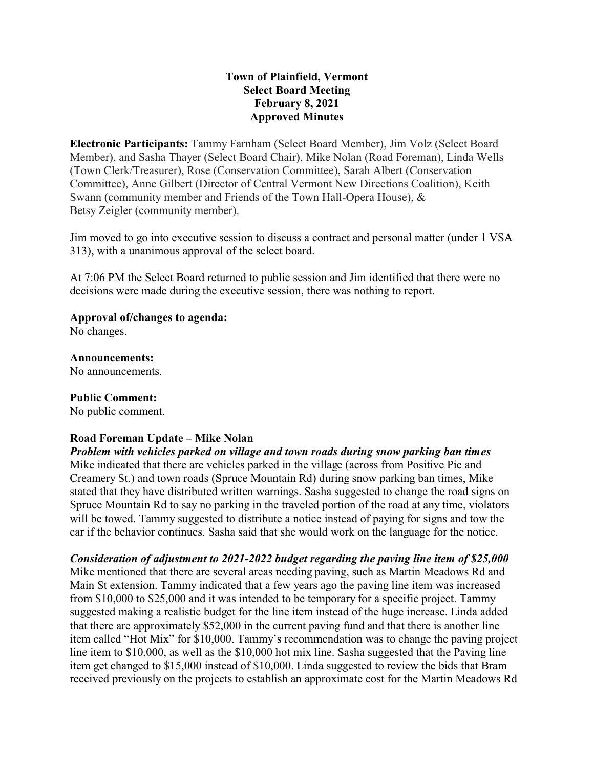### **Town of Plainfield, Vermont Select Board Meeting February 8, 2021 Approved Minutes**

**Electronic Participants:** Tammy Farnham (Select Board Member), Jim Volz (Select Board Member), and Sasha Thayer (Select Board Chair), Mike Nolan (Road Foreman), Linda Wells (Town Clerk/Treasurer), Rose (Conservation Committee), Sarah Albert (Conservation Committee), Anne Gilbert (Director of Central Vermont New Directions Coalition), Keith Swann (community member and Friends of the Town Hall-Opera House), & Betsy Zeigler (community member).

Jim moved to go into executive session to discuss a contract and personal matter (under 1 VSA 313), with a unanimous approval of the select board.

At 7:06 PM the Select Board returned to public session and Jim identified that there were no decisions were made during the executive session, there was nothing to report.

#### **Approval of/changes to agenda:**

No changes.

#### **Announcements:**

No announcements.

#### **Public Comment:**

No public comment.

## **Road Foreman Update – Mike Nolan**

*Problem with vehicles parked on village and town roads during snow parking ban times* Mike indicated that there are vehicles parked in the village (across from Positive Pie and Creamery St.) and town roads (Spruce Mountain Rd) during snow parking ban times, Mike stated that they have distributed written warnings. Sasha suggested to change the road signs on Spruce Mountain Rd to say no parking in the traveled portion of the road at any time, violators will be towed. Tammy suggested to distribute a notice instead of paying for signs and tow the car if the behavior continues. Sasha said that she would work on the language for the notice.

*Consideration of adjustment to 2021-2022 budget regarding the paving line item of \$25,000* Mike mentioned that there are several areas needing paving, such as Martin Meadows Rd and Main St extension. Tammy indicated that a few years ago the paving line item was increased from \$10,000 to \$25,000 and it was intended to be temporary for a specific project. Tammy suggested making a realistic budget for the line item instead of the huge increase. Linda added that there are approximately \$52,000 in the current paving fund and that there is another line item called "Hot Mix" for \$10,000. Tammy's recommendation was to change the paving project line item to \$10,000, as well as the \$10,000 hot mix line. Sasha suggested that the Paving line item get changed to \$15,000 instead of \$10,000. Linda suggested to review the bids that Bram received previously on the projects to establish an approximate cost for the Martin Meadows Rd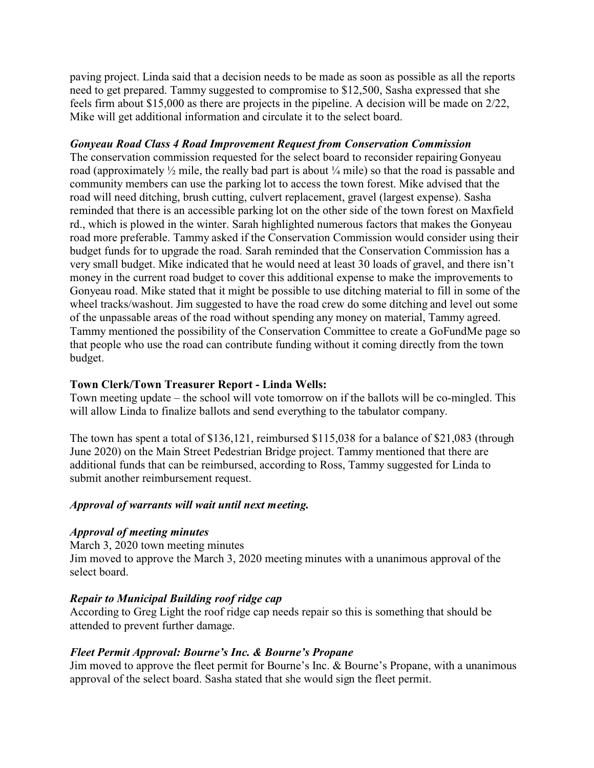paving project. Linda said that a decision needs to be made as soon as possible as all the reports need to get prepared. Tammy suggested to compromise to \$12,500, Sasha expressed that she feels firm about \$15,000 as there are projects in the pipeline. A decision will be made on 2/22, Mike will get additional information and circulate it to the select board.

### *Gonyeau Road Class 4 Road Improvement Request from Conservation Commission*

The conservation commission requested for the select board to reconsider repairing Gonyeau road (approximately ½ mile, the really bad part is about ¼ mile) so that the road is passable and community members can use the parking lot to access the town forest. Mike advised that the road will need ditching, brush cutting, culvert replacement, gravel (largest expense). Sasha reminded that there is an accessible parking lot on the other side of the town forest on Maxfield rd., which is plowed in the winter. Sarah highlighted numerous factors that makes the Gonyeau road more preferable. Tammy asked if the Conservation Commission would consider using their budget funds for to upgrade the road. Sarah reminded that the Conservation Commission has a very small budget. Mike indicated that he would need at least 30 loads of gravel, and there isn't money in the current road budget to cover this additional expense to make the improvements to Gonyeau road. Mike stated that it might be possible to use ditching material to fill in some of the wheel tracks/washout. Jim suggested to have the road crew do some ditching and level out some of the unpassable areas of the road without spending any money on material, Tammy agreed. Tammy mentioned the possibility of the Conservation Committee to create a GoFundMe page so that people who use the road can contribute funding without it coming directly from the town budget.

#### **Town Clerk/Town Treasurer Report - Linda Wells:**

Town meeting update – the school will vote tomorrow on if the ballots will be co-mingled. This will allow Linda to finalize ballots and send everything to the tabulator company.

The town has spent a total of \$136,121, reimbursed \$115,038 for a balance of \$21,083 (through June 2020) on the Main Street Pedestrian Bridge project. Tammy mentioned that there are additional funds that can be reimbursed, according to Ross, Tammy suggested for Linda to submit another reimbursement request.

#### *Approval of warrants will wait until next meeting.*

#### *Approval of meeting minutes*

March 3, 2020 town meeting minutes

Jim moved to approve the March 3, 2020 meeting minutes with a unanimous approval of the select board.

#### *Repair to Municipal Building roof ridge cap*

According to Greg Light the roof ridge cap needs repair so this is something that should be attended to prevent further damage.

#### *Fleet Permit Approval: Bourne's Inc. & Bourne's Propane*

Jim moved to approve the fleet permit for Bourne's Inc. & Bourne's Propane, with a unanimous approval of the select board. Sasha stated that she would sign the fleet permit.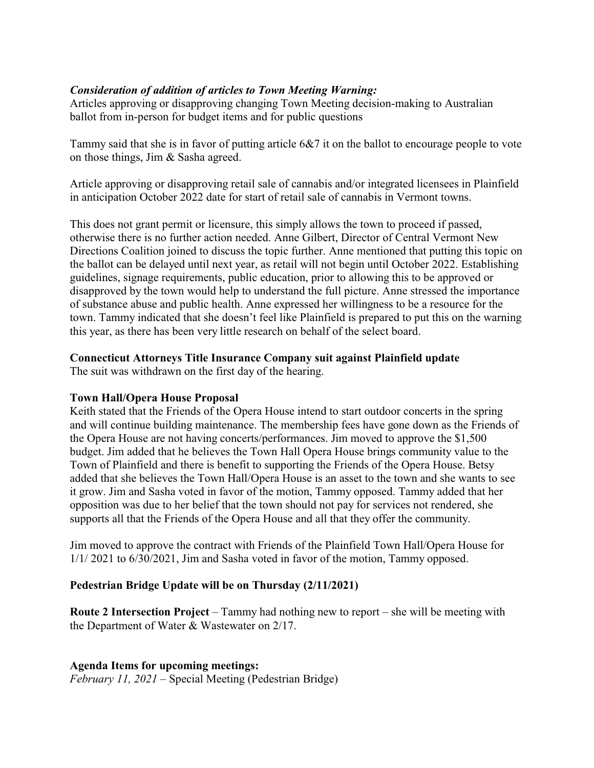# *Consideration of addition of articles to Town Meeting Warning:*

Articles approving or disapproving changing Town Meeting decision-making to Australian ballot from in-person for budget items and for public questions

Tammy said that she is in favor of putting article 6&7 it on the ballot to encourage people to vote on those things, Jim & Sasha agreed.

Article approving or disapproving retail sale of cannabis and/or integrated licensees in Plainfield in anticipation October 2022 date for start of retail sale of cannabis in Vermont towns.

This does not grant permit or licensure, this simply allows the town to proceed if passed, otherwise there is no further action needed. Anne Gilbert, Director of Central Vermont New Directions Coalition joined to discuss the topic further. Anne mentioned that putting this topic on the ballot can be delayed until next year, as retail will not begin until October 2022. Establishing guidelines, signage requirements, public education, prior to allowing this to be approved or disapproved by the town would help to understand the full picture. Anne stressed the importance of substance abuse and public health. Anne expressed her willingness to be a resource for the town. Tammy indicated that she doesn't feel like Plainfield is prepared to put this on the warning this year, as there has been very little research on behalf of the select board.

## **Connecticut Attorneys Title Insurance Company suit against Plainfield update**

The suit was withdrawn on the first day of the hearing.

## **Town Hall/Opera House Proposal**

Keith stated that the Friends of the Opera House intend to start outdoor concerts in the spring and will continue building maintenance. The membership fees have gone down as the Friends of the Opera House are not having concerts/performances. Jim moved to approve the \$1,500 budget. Jim added that he believes the Town Hall Opera House brings community value to the Town of Plainfield and there is benefit to supporting the Friends of the Opera House. Betsy added that she believes the Town Hall/Opera House is an asset to the town and she wants to see it grow. Jim and Sasha voted in favor of the motion, Tammy opposed. Tammy added that her opposition was due to her belief that the town should not pay for services not rendered, she supports all that the Friends of the Opera House and all that they offer the community.

Jim moved to approve the contract with Friends of the Plainfield Town Hall/Opera House for 1/1/ 2021 to 6/30/2021, Jim and Sasha voted in favor of the motion, Tammy opposed.

## **Pedestrian Bridge Update will be on Thursday (2/11/2021)**

**Route 2 Intersection Project** – Tammy had nothing new to report – she will be meeting with the Department of Water & Wastewater on 2/17.

**Agenda Items for upcoming meetings:**

*February 11, 2021* – Special Meeting (Pedestrian Bridge)